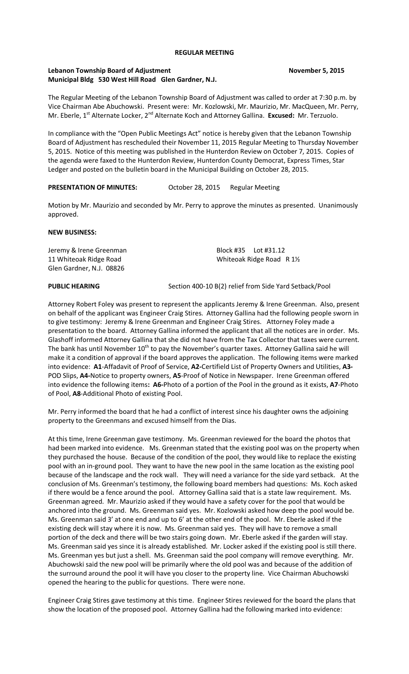### **REGULAR MEETING**

## **Lebanon Township Board of Adjustment November 5, 2015 Municipal Bldg 530 West Hill Road Glen Gardner, N.J.**

The Regular Meeting of the Lebanon Township Board of Adjustment was called to order at 7:30 p.m. by Vice Chairman Abe Abuchowski. Present were: Mr. Kozlowski, Mr. Maurizio, Mr. MacQueen, Mr. Perry, Mr. Eberle, 1<sup>st</sup> Alternate Locker, 2<sup>nd</sup> Alternate Koch and Attorney Gallina. **Excused:** Mr. Terzuolo.

In compliance with the "Open Public Meetings Act" notice is hereby given that the Lebanon Township Board of Adjustment has rescheduled their November 11, 2015 Regular Meeting to Thursday November 5, 2015. Notice of this meeting was published in the Hunterdon Review on October 7, 2015. Copies of the agenda were faxed to the Hunterdon Review, Hunterdon County Democrat, Express Times, Star Ledger and posted on the bulletin board in the Municipal Building on October 28, 2015.

## **PRESENTATION OF MINUTES:** October 28, 2015 Regular Meeting

Motion by Mr. Maurizio and seconded by Mr. Perry to approve the minutes as presented. Unanimously approved.

### **NEW BUSINESS:**

Jeremy & Irene Greenman Block #35 Lot #31.12 11 Whiteoak Ridge Road Noard Whiteoak Ridge Road R 1<sup>1/2</sup> Glen Gardner, N.J. 08826

**PUBLIC HEARING** Section 400-10 B(2) relief from Side Yard Setback/Pool

Attorney Robert Foley was present to represent the applicants Jeremy & Irene Greenman. Also, present on behalf of the applicant was Engineer Craig Stires. Attorney Gallina had the following people sworn in to give testimony: Jeremy & Irene Greenman and Engineer Craig Stires. Attorney Foley made a presentation to the board. Attorney Gallina informed the applicant that all the notices are in order. Ms. Glashoff informed Attorney Gallina that she did not have from the Tax Collector that taxes were current. The bank has until November 10<sup>th</sup> to pay the November's quarter taxes. Attorney Gallina said he will make it a condition of approval if the board approves the application. The following items were marked into evidence: **A1**-Affadavit of Proof of Service, **A2-**Certifield List of Property Owners and Utilities, **A3-** POD Slips, **A4-**Notice to property owners, **A5**-Proof of Notice in Newspaper. Irene Greenman offered into evidence the following items**: A6-**Photo of a portion of the Pool in the ground as it exists, **A7**-Photo of Pool, **A8**-Additional Photo of existing Pool.

Mr. Perry informed the board that he had a conflict of interest since his daughter owns the adjoining property to the Greenmans and excused himself from the Dias.

At this time, Irene Greenman gave testimony. Ms. Greenman reviewed for the board the photos that had been marked into evidence. Ms. Greenman stated that the existing pool was on the property when they purchased the house. Because of the condition of the pool, they would like to replace the existing pool with an in-ground pool. They want to have the new pool in the same location as the existing pool because of the landscape and the rock wall. They will need a variance for the side yard setback. At the conclusion of Ms. Greenman's testimony, the following board members had questions: Ms. Koch asked if there would be a fence around the pool. Attorney Gallina said that is a state law requirement. Ms. Greenman agreed. Mr. Maurizio asked if they would have a safety cover for the pool that would be anchored into the ground. Ms. Greenman said yes. Mr. Kozlowski asked how deep the pool would be. Ms. Greenman said 3' at one end and up to 6' at the other end of the pool. Mr. Eberle asked if the existing deck will stay where it is now. Ms. Greenman said yes. They will have to remove a small portion of the deck and there will be two stairs going down. Mr. Eberle asked if the garden will stay. Ms. Greenman said yes since it is already established. Mr. Locker asked if the existing pool is still there. Ms. Greenman yes but just a shell. Ms. Greenman said the pool company will remove everything. Mr. Abuchowski said the new pool will be primarily where the old pool was and because of the addition of the surround around the pool it will have you closer to the property line. Vice Chairman Abuchowski opened the hearing to the public for questions. There were none.

Engineer Craig Stires gave testimony at this time. Engineer Stires reviewed for the board the plans that show the location of the proposed pool. Attorney Gallina had the following marked into evidence: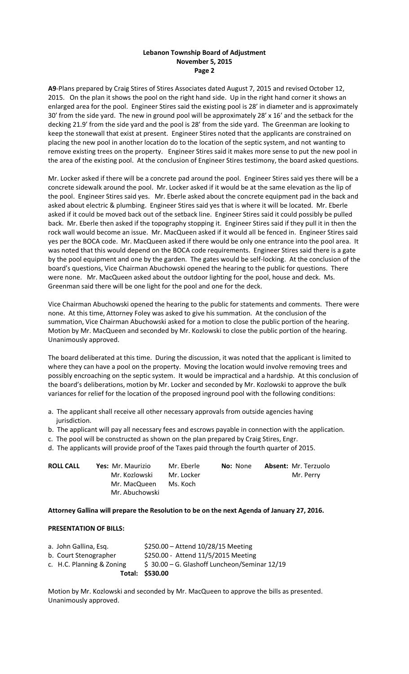## **Lebanon Township Board of Adjustment November 5, 2015 Page 2**

**A9**-Plans prepared by Craig Stires of Stires Associates dated August 7, 2015 and revised October 12, 2015. On the plan it shows the pool on the right hand side. Up in the right hand corner it shows an enlarged area for the pool. Engineer Stires said the existing pool is 28' in diameter and is approximately 30' from the side yard. The new in ground pool will be approximately 28' x 16' and the setback for the decking 21.9' from the side yard and the pool is 28' from the side yard. The Greenman are looking to keep the stonewall that exist at present. Engineer Stires noted that the applicants are constrained on placing the new pool in another location do to the location of the septic system, and not wanting to remove existing trees on the property. Engineer Stires said it makes more sense to put the new pool in the area of the existing pool. At the conclusion of Engineer Stires testimony, the board asked questions.

Mr. Locker asked if there will be a concrete pad around the pool. Engineer Stires said yes there will be a concrete sidewalk around the pool. Mr. Locker asked if it would be at the same elevation as the lip of the pool. Engineer Stires said yes. Mr. Eberle asked about the concrete equipment pad in the back and asked about electric & plumbing. Engineer Stires said yes that is where it will be located. Mr. Eberle asked if it could be moved back out of the setback line. Engineer Stires said it could possibly be pulled back. Mr. Eberle then asked if the topography stopping it. Engineer Stires said if they pull it in then the rock wall would become an issue. Mr. MacQueen asked if it would all be fenced in. Engineer Stires said yes per the BOCA code. Mr. MacQueen asked if there would be only one entrance into the pool area. It was noted that this would depend on the BOCA code requirements. Engineer Stires said there is a gate by the pool equipment and one by the garden. The gates would be self-locking. At the conclusion of the board's questions, Vice Chairman Abuchowski opened the hearing to the public for questions. There were none. Mr. MacQueen asked about the outdoor lighting for the pool, house and deck. Ms. Greenman said there will be one light for the pool and one for the deck.

Vice Chairman Abuchowski opened the hearing to the public for statements and comments. There were none. At this time, Attorney Foley was asked to give his summation. At the conclusion of the summation, Vice Chairman Abuchowski asked for a motion to close the public portion of the hearing. Motion by Mr. MacQueen and seconded by Mr. Kozlowski to close the public portion of the hearing. Unanimously approved.

The board deliberated at this time. During the discussion, it was noted that the applicant is limited to where they can have a pool on the property. Moving the location would involve removing trees and possibly encroaching on the septic system. It would be impractical and a hardship. At this conclusion of the board's deliberations, motion by Mr. Locker and seconded by Mr. Kozlowski to approve the bulk variances for relief for the location of the proposed inground pool with the following conditions:

- a. The applicant shall receive all other necessary approvals from outside agencies having jurisdiction.
- b. The applicant will pay all necessary fees and escrows payable in connection with the application.
- c. The pool will be constructed as shown on the plan prepared by Craig Stires, Engr.
- d. The applicants will provide proof of the Taxes paid through the fourth quarter of 2015.

| <b>ROLL CALL</b> | Yes: Mr. Maurizio | Mr. Eberle | <b>No:</b> None | <b>Absent: Mr. Terzuolo</b> |
|------------------|-------------------|------------|-----------------|-----------------------------|
|                  | Mr. Kozlowski     | Mr. Locker |                 | Mr. Perry                   |
|                  | Mr. MacQueen      | Ms. Koch   |                 |                             |
|                  | Mr. Abuchowski    |            |                 |                             |

## **Attorney Gallina will prepare the Resolution to be on the next Agenda of January 27, 2016.**

### **PRESENTATION OF BILLS:**

|                           | Total: \$530.00                              |
|---------------------------|----------------------------------------------|
| c. H.C. Planning & Zoning | \$30.00 - G. Glashoff Luncheon/Seminar 12/19 |
| b. Court Stenographer     | \$250.00 - Attend 11/5/2015 Meeting          |
| a. John Gallina, Esq.     | \$250.00 - Attend 10/28/15 Meeting           |

Motion by Mr. Kozlowski and seconded by Mr. MacQueen to approve the bills as presented. Unanimously approved.